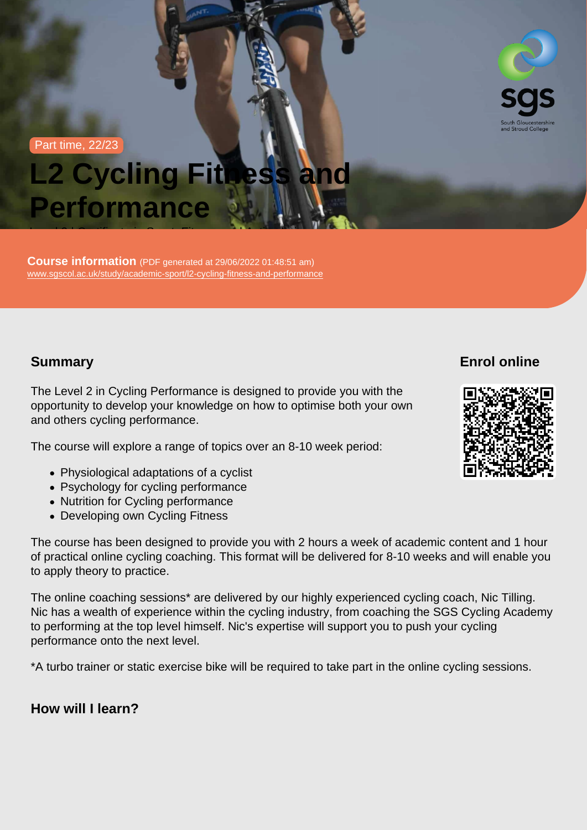Part time, 22/23

# L2 Cycling Fitness and **Performance**

Course information (PDF generated at 29/06/2022 01:48:51 am) [www.sgscol.ac.uk/study/academic-sport/l2-cycling-fitness-and-performance](https://www.sgscol.ac.uk/study/academic-sport/l2-cycling-fitness-and-performance)

Level 2 | Certificate in Sport, Fitness and Active Leisure

## **Summary**

Enrol online

The Level 2 in Cycling Performance is designed to provide you with the opportunity to develop your knowledge on how to optimise both your own and others cycling performance.

The course will explore a range of topics over an 8-10 week period:

- Physiological adaptations of a cyclist
- Psychology for cycling performance
- Nutrition for Cycling performance
- Developing own Cycling Fitness

The course has been designed to provide you with 2 hours a week of academic content and 1 hour of practical online cycling coaching. This format will be delivered for 8-10 weeks and will enable you to apply theory to practice.

The online coaching sessions\* are delivered by our highly experienced cycling coach, Nic Tilling. Nic has a wealth of experience within the cycling industry, from coaching the SGS Cycling Academy to performing at the top level himself. Nic's expertise will support you to push your cycling performance onto the next level.

\*A turbo trainer or static exercise bike will be required to take part in the online cycling sessions.

How will I learn?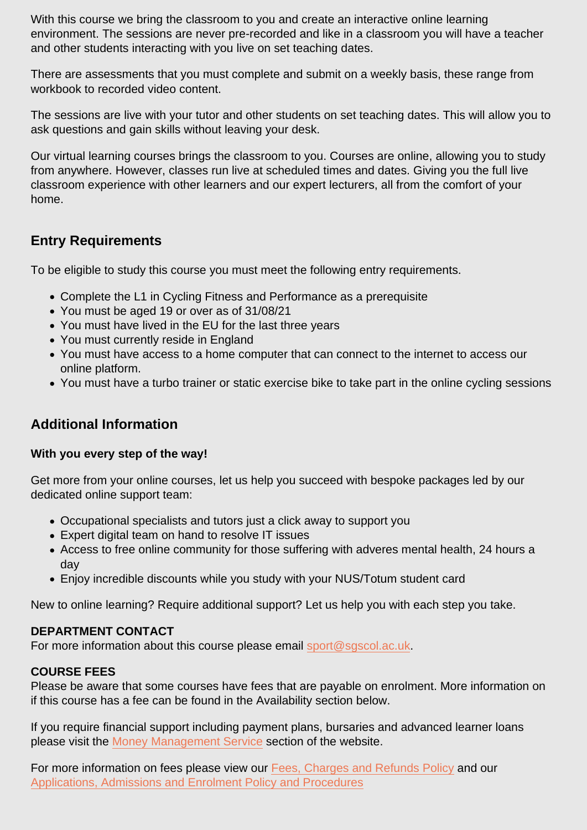With this course we bring the classroom to you and create an interactive online learning environment. The sessions are never pre-recorded and like in a classroom you will have a teacher and other students interacting with you live on set teaching dates.

There are assessments that you must complete and submit on a weekly basis, these range from workbook to recorded video content.

The sessions are live with your tutor and other students on set teaching dates. This will allow you to ask questions and gain skills without leaving your desk.

Our virtual learning courses brings the classroom to you. Courses are online, allowing you to study from anywhere. However, classes run live at scheduled times and dates. Giving you the full live classroom experience with other learners and our expert lecturers, all from the comfort of your home.

## Entry Requirements

To be eligible to study this course you must meet the following entry requirements.

- Complete the L1 in Cycling Fitness and Performance as a prerequisite
- You must be aged 19 or over as of 31/08/21
- You must have lived in the EU for the last three years
- You must currently reside in England
- You must have access to a home computer that can connect to the internet to access our online platform.
- You must have a turbo trainer or static exercise bike to take part in the online cycling sessions

## Additional Information

With you every step of the way!

Get more from your online courses, let us help you succeed with bespoke packages led by our dedicated online support team:

- Occupational specialists and tutors just a click away to support you
- Expert digital team on hand to resolve IT issues
- Access to free online community for those suffering with adveres mental health, 24 hours a day
- Enjoy incredible discounts while you study with your NUS/Totum student card

New to online learning? Require additional support? Let us help you with each step you take.

#### DEPARTMENT CONTACT

For more information about this course please email [sport@sgscol.ac.uk](mailto:sport@sgscol.ac.uk).

#### COURSE FEES

Please be aware that some courses have fees that are payable on enrolment. More information on if this course has a fee can be found in the Availability section below.

If you require financial support including payment plans, bursaries and advanced learner loans please visit the [Money Management Service](http://www.sgscol.ac.uk/mms) section of the website.

For more information on fees please view our [Fees, Charges and Refunds Policy](https://www.sgscol.ac.uk/policies) and our [Applications, Admissions and Enrolment Policy and Procedures](https://www.sgscol.ac.uk/policies)